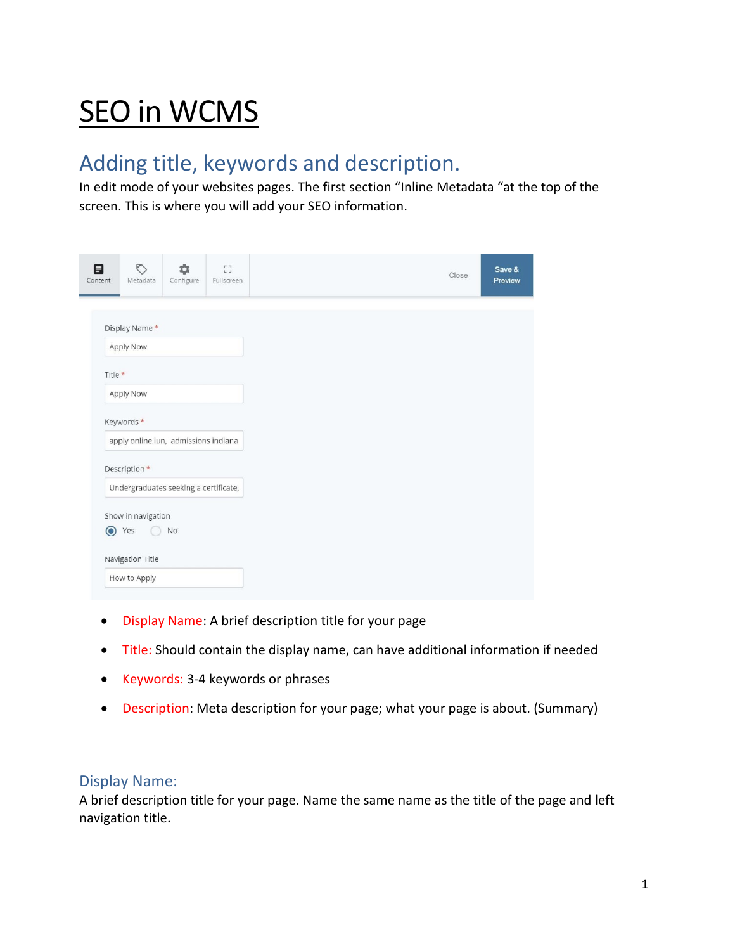# **SEO in WCMS**

# Adding title, keywords and description.

In edit mode of your websites pages. The first section "Inline Metadata "at the top of the screen. This is where you will add your SEO information.

| 目<br>Content                         | O<br>Metadata               | 厽<br>Configure                        | $\frac{1}{2}$<br>Fullscreen | Close | Save &<br>Preview |
|--------------------------------------|-----------------------------|---------------------------------------|-----------------------------|-------|-------------------|
|                                      |                             |                                       |                             |       |                   |
|                                      | Display Name*<br>Apply Now  |                                       |                             |       |                   |
| Title *                              |                             |                                       |                             |       |                   |
| Apply Now                            |                             |                                       |                             |       |                   |
|                                      | Keywords*                   |                                       |                             |       |                   |
| apply online iun, admissions indiana |                             |                                       |                             |       |                   |
|                                      | Description *               |                                       |                             |       |                   |
|                                      |                             | Undergraduates seeking a certificate, |                             |       |                   |
|                                      | Show in navigation<br>⊙ Yes | <b>No</b>                             |                             |       |                   |
|                                      | Navigation Title            |                                       |                             |       |                   |
|                                      | How to Apply                |                                       |                             |       |                   |

- Display Name: A brief description title for your page
- Title: Should contain the display name, can have additional information if needed
- Keywords: 3-4 keywords or phrases
- Description: Meta description for your page; what your page is about. (Summary)

# Display Name:

A brief description title for your page. Name the same name as the title of the page and left navigation title.